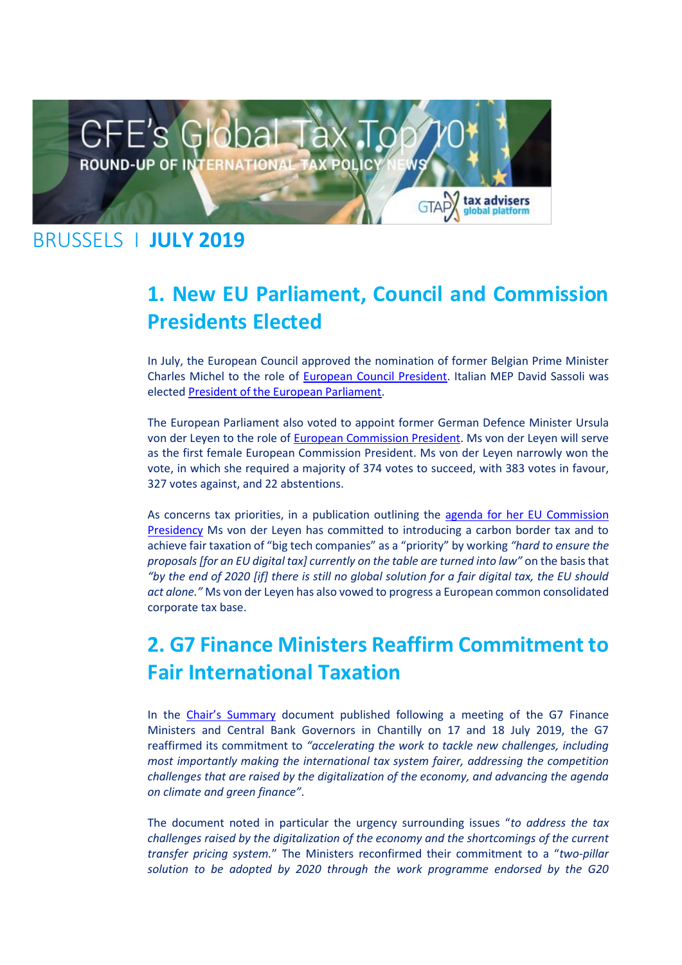

#### BRUSSELS I **JULY 2019**

# **1. New EU Parliament, Council and Commission Presidents Elected**

In July, the European Council approved the nomination of former Belgian Prime Minister Charles Michel to the role of [European Council President.](https://taxadviserseurope.us16.list-manage.com/track/click?u=0823f78338ab363b7e312367d&id=f7d1c8d59f&e=d675bf34cb) Italian MEP David Sassoli was electe[d President of the European Parliament.](https://taxadviserseurope.us16.list-manage.com/track/click?u=0823f78338ab363b7e312367d&id=da0937d548&e=d675bf34cb)

The European Parliament also voted to appoint former German Defence Minister Ursula von der Leyen to the role of [European Commission President.](https://taxadviserseurope.us16.list-manage.com/track/click?u=0823f78338ab363b7e312367d&id=fc8f119690&e=d675bf34cb) Ms von der Leyen will serve as the first female European Commission President. Ms von der Leyen narrowly won the vote, in which she required a majority of 374 votes to succeed, with 383 votes in favour, 327 votes against, and 22 abstentions.

As concerns tax priorities, in a publication outlining the [agenda for her EU Commission](https://taxadviserseurope.us16.list-manage.com/track/click?u=0823f78338ab363b7e312367d&id=6c60933d4a&e=d675bf34cb)  [Presidency](https://taxadviserseurope.us16.list-manage.com/track/click?u=0823f78338ab363b7e312367d&id=6c60933d4a&e=d675bf34cb) Ms von der Leyen has committed to introducing a carbon border tax and to achieve fair taxation of "big tech companies" as a "priority" by working *"hard to ensure the proposals [for an EU digital tax] currently on the table are turned into law"* on the basis that *"by the end of 2020 [if] there is still no global solution for a fair digital tax, the EU should act alone."* Ms von der Leyen has also vowed to progress a European common consolidated corporate tax base.

# **2. G7 Finance Ministers Reaffirm Commitment to Fair International Taxation**

In the [Chair's Summary](https://taxadviserseurope.us16.list-manage.com/track/click?u=0823f78338ab363b7e312367d&id=3104ba714f&e=d675bf34cb) document published following a meeting of the G7 Finance Ministers and Central Bank Governors in Chantilly on 17 and 18 July 2019, the G7 reaffirmed its commitment to *"accelerating the work to tackle new challenges, including most importantly making the international tax system fairer, addressing the competition challenges that are raised by the digitalization of the economy, and advancing the agenda on climate and green finance"*.

The document noted in particular the urgency surrounding issues "*to address the tax challenges raised by the digitalization of the economy and the shortcomings of the current transfer pricing system.*" The Ministers reconfirmed their commitment to a "*two-pillar solution to be adopted by 2020 through the work programme endorsed by the G20*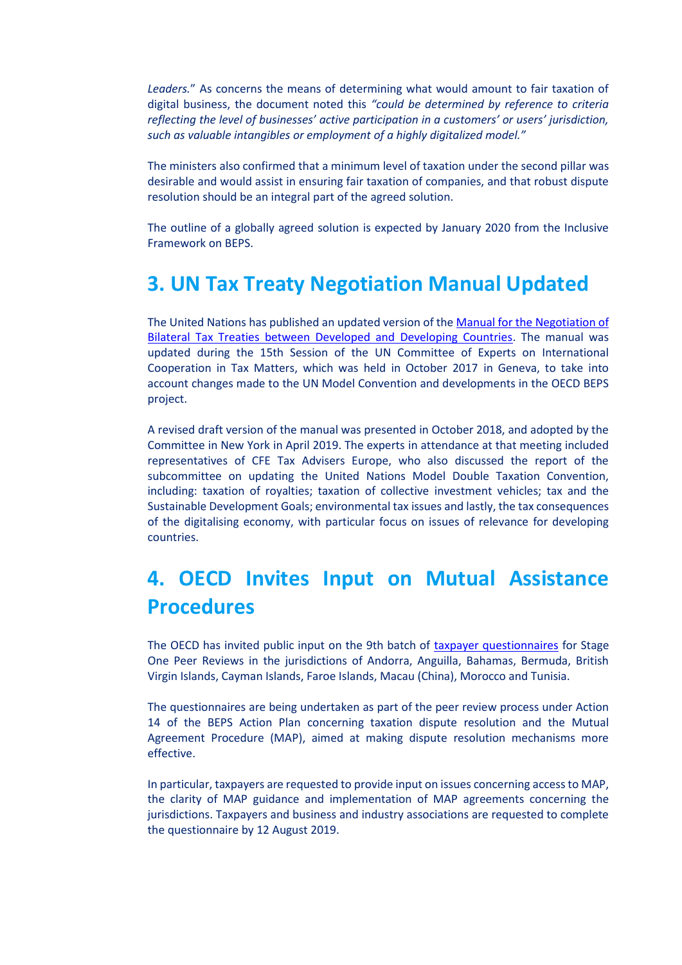*Leaders.*" As concerns the means of determining what would amount to fair taxation of digital business, the document noted this *"could be determined by reference to criteria reflecting the level of businesses' active participation in a customers' or users' jurisdiction, such as valuable intangibles or employment of a highly digitalized model."*

The ministers also confirmed that a minimum level of taxation under the second pillar was desirable and would assist in ensuring fair taxation of companies, and that robust dispute resolution should be an integral part of the agreed solution.

The outline of a globally agreed solution is expected by January 2020 from the Inclusive Framework on BEPS.

### **3. UN Tax Treaty Negotiation Manual Updated**

The United Nations has published an updated version of th[e Manual for the Negotiation of](https://taxadviserseurope.us16.list-manage.com/track/click?u=0823f78338ab363b7e312367d&id=2f255d724a&e=d675bf34cb)  [Bilateral Tax Treaties between Developed and Developing Countries.](https://taxadviserseurope.us16.list-manage.com/track/click?u=0823f78338ab363b7e312367d&id=2f255d724a&e=d675bf34cb) The manual was updated during the 15th Session of the UN Committee of Experts on International Cooperation in Tax Matters, which was held in October 2017 in Geneva, to take into account changes made to the UN Model Convention and developments in the OECD BEPS project.

A revised draft version of the manual was presented in October 2018, and adopted by the Committee in New York in April 2019. The experts in attendance at that meeting included representatives of CFE Tax Advisers Europe, who also discussed the report of the subcommittee on updating the United Nations Model Double Taxation Convention, including: taxation of royalties; taxation of collective investment vehicles; tax and the Sustainable Development Goals; environmental tax issues and lastly, the tax consequences of the digitalising economy, with particular focus on issues of relevance for developing countries.

### **4. OECD Invites Input on Mutual Assistance Procedures**

The OECD has invited public input on the 9th batch of [taxpayer questionnaires](https://taxadviserseurope.us16.list-manage.com/track/click?u=0823f78338ab363b7e312367d&id=55f5a376ad&e=d675bf34cb) for Stage One Peer Reviews in the jurisdictions of Andorra, Anguilla, Bahamas, Bermuda, British Virgin Islands, Cayman Islands, Faroe Islands, Macau (China), Morocco and Tunisia.

The questionnaires are being undertaken as part of the peer review process under Action 14 of the BEPS Action Plan concerning taxation dispute resolution and the Mutual Agreement Procedure (MAP), aimed at making dispute resolution mechanisms more effective.

In particular, taxpayers are requested to provide input on issues concerning access to MAP, the clarity of MAP guidance and implementation of MAP agreements concerning the jurisdictions. Taxpayers and business and industry associations are requested to complete the questionnaire by 12 August 2019.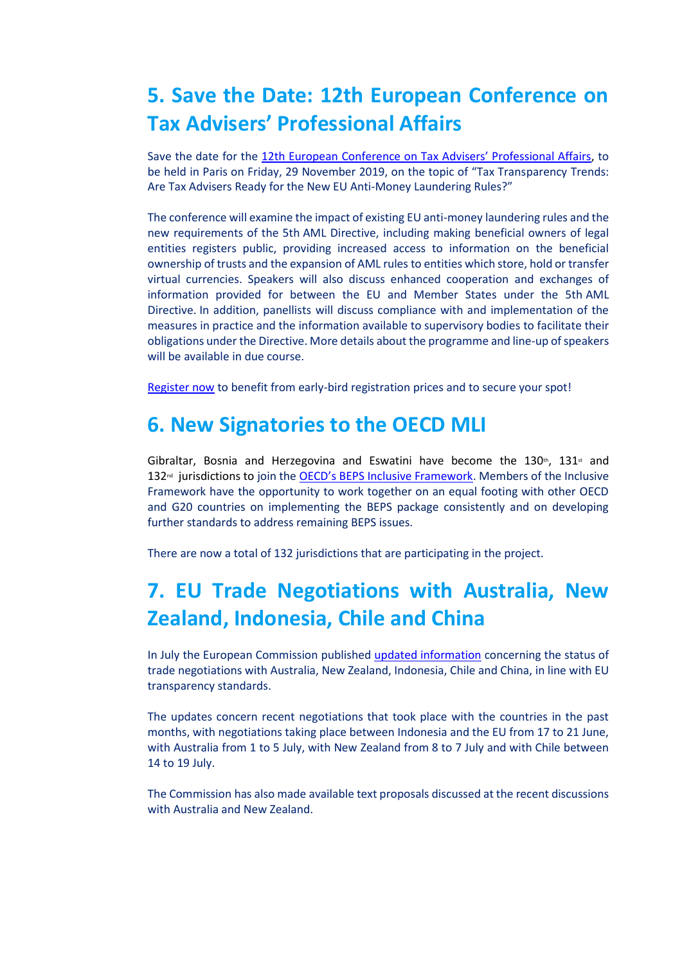## **5. Save the Date: 12th European Conference on Tax Advisers' Professional Affairs**

Save the date for the [12th European Conference on Tax Advisers' Professional Affairs](https://taxadviserseurope.us16.list-manage.com/track/click?u=0823f78338ab363b7e312367d&id=8974966ad9&e=d675bf34cb), to be held in Paris on Friday, 29 November 2019, on the topic of "Tax Transparency Trends: Are Tax Advisers Ready for the New EU Anti-Money Laundering Rules?"

The conference will examine the impact of existing EU anti-money laundering rules and the new requirements of the 5th AML Directive, including making beneficial owners of legal entities registers public, providing increased access to information on the beneficial ownership of trusts and the expansion of AML rules to entities which store, hold or transfer virtual currencies. Speakers will also discuss enhanced cooperation and exchanges of information provided for between the EU and Member States under the 5th AML Directive. In addition, panellists will discuss compliance with and implementation of the measures in practice and the information available to supervisory bodies to facilitate their obligations under the Directive. More details about the programme and line-up of speakers will be available in due course.

[Register now](https://taxadviserseurope.us16.list-manage.com/track/click?u=0823f78338ab363b7e312367d&id=9232ebef24&e=d675bf34cb) to benefit from early-bird registration prices and to secure your spot!

#### **6. New Signatories to the OECD MLI**

Gibraltar, Bosnia and Herzegovina and Eswatini have become the  $130<sup>th</sup>$ ,  $131<sup>st</sup>$  and 132<sup>nd</sup> jurisdictions to join the [OECD's BEPS Inclusive Framework](https://taxadviserseurope.us16.list-manage.com/track/click?u=0823f78338ab363b7e312367d&id=58199ce46b&e=d675bf34cb). Members of the Inclusive Framework have the opportunity to work together on an equal footing with other OECD and G20 countries on implementing the BEPS package consistently and on developing further standards to address remaining BEPS issues.

There are now a total of 132 jurisdictions that are participating in the project.

### **7. EU Trade Negotiations with Australia, New Zealand, Indonesia, Chile and China**

In July the European Commission publishe[d updated information](https://taxadviserseurope.us16.list-manage.com/track/click?u=0823f78338ab363b7e312367d&id=f5f38cf803&e=d675bf34cb) concerning the status of trade negotiations with Australia, New Zealand, Indonesia, Chile and China, in line with EU transparency standards.

The updates concern recent negotiations that took place with the countries in the past months, with negotiations taking place between Indonesia and the EU from 17 to 21 June, with Australia from 1 to 5 July, with New Zealand from 8 to 7 July and with Chile between 14 to 19 July.

The Commission has also made available text proposals discussed at the recent discussions with Australia and New Zealand.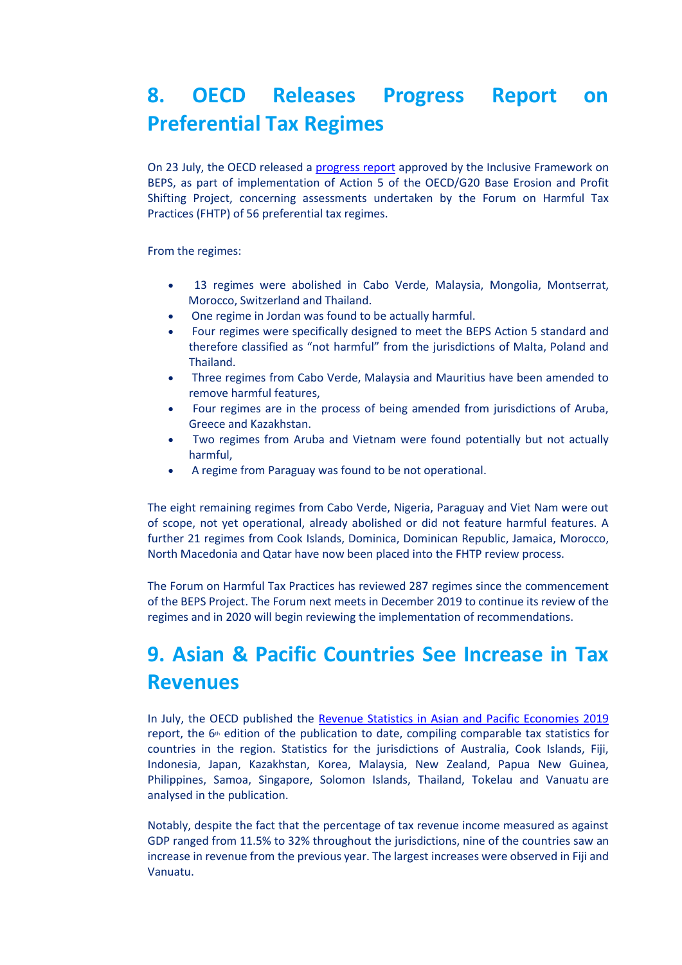## **8. OECD Releases Progress Report on Preferential Tax Regimes**

On 23 July, the OECD released a [progress report](https://taxadviserseurope.us16.list-manage.com/track/click?u=0823f78338ab363b7e312367d&id=d992d834ad&e=d675bf34cb) approved by the Inclusive Framework on BEPS, as part of implementation of Action 5 of the OECD/G20 Base Erosion and Profit Shifting Project, concerning assessments undertaken by the Forum on Harmful Tax Practices (FHTP) of 56 preferential tax regimes.

From the regimes:

- 13 regimes were abolished in Cabo Verde, Malaysia, Mongolia, Montserrat, Morocco, Switzerland and Thailand.
- One regime in Jordan was found to be actually harmful.
- Four regimes were specifically designed to meet the BEPS Action 5 standard and therefore classified as "not harmful" from the jurisdictions of Malta, Poland and Thailand.
- Three regimes from Cabo Verde, Malaysia and Mauritius have been amended to remove harmful features,
- Four regimes are in the process of being amended from jurisdictions of Aruba, Greece and Kazakhstan.
- Two regimes from Aruba and Vietnam were found potentially but not actually harmful,
- A regime from Paraguay was found to be not operational.

The eight remaining regimes from Cabo Verde, Nigeria, Paraguay and Viet Nam were out of scope, not yet operational, already abolished or did not feature harmful features. A further 21 regimes from Cook Islands, Dominica, Dominican Republic, Jamaica, Morocco, North Macedonia and Qatar have now been placed into the FHTP review process.

The Forum on Harmful Tax Practices has reviewed 287 regimes since the commencement of the BEPS Project. The Forum next meets in December 2019 to continue its review of the regimes and in 2020 will begin reviewing the implementation of recommendations.

# **9. Asian & Pacific Countries See Increase in Tax Revenues**

In July, the OECD published the [Revenue Statistics in Asian and Pacific Economies 2019](https://taxadviserseurope.us16.list-manage.com/track/click?u=0823f78338ab363b7e312367d&id=a3133faa99&e=d675bf34cb) report, the  $6<sup>th</sup>$  edition of the publication to date, compiling comparable tax statistics for countries in the region. Statistics for the jurisdictions of Australia, Cook Islands, Fiji, Indonesia, Japan, Kazakhstan, Korea, Malaysia, New Zealand, Papua New Guinea, Philippines, Samoa, Singapore, Solomon Islands, Thailand, Tokelau and Vanuatu are analysed in the publication.

Notably, despite the fact that the percentage of tax revenue income measured as against GDP ranged from 11.5% to 32% throughout the jurisdictions, nine of the countries saw an increase in revenue from the previous year. The largest increases were observed in Fiji and Vanuatu.